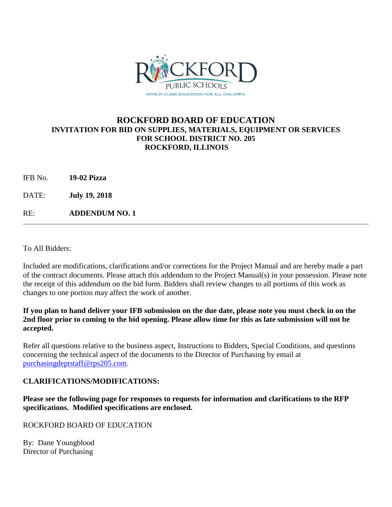

## **ROCKFORD BOARD OF EDUCATION INVITATION FOR BID ON SUPPLIES, MATERIALS, EQUIPMENT OR SERVICES FOR SCHOOL DISTRICT NO. 205 ROCKFORD, ILLINOIS**

| 19-02 Pizza |
|-------------|
|             |

DATE: **July 19, 2018**

RE: **ADDENDUM NO. 1**

To All Bidders:

Included are modifications, clarifications and/or corrections for the Project Manual and are hereby made a part of the contract documents. Please attach this addendum to the Project Manual(s) in your possession. Please note the receipt of this addendum on the bid form. Bidders shall review changes to all portions of this work as changes to one portion may affect the work of another.

### **If you plan to hand deliver your IFB submission on the due date, please note you must check in on the 2nd floor prior to coming to the bid opening. Please allow time for this as late submission will not be accepted.**

Refer all questions relative to the business aspect, Instructions to Bidders, Special Conditions, and questions concerning the technical aspect of the documents to the Director of Purchasing by email at [purchasingdeptstaff@rps205.com.](mailto:purchasingdeptstaff@rps205.com)

### **CLARIFICATIONS/MODIFICATIONS:**

**Please see the following page for responses to requests for information and clarifications to the RFP specifications. Modified specifications are enclosed.**

ROCKFORD BOARD OF EDUCATION

By: Dane Youngblood Director of Purchasing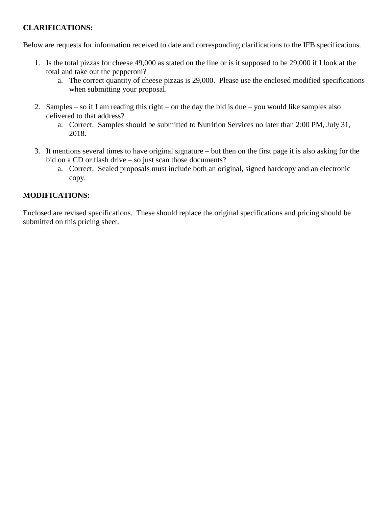## **CLARIFICATIONS:**

Below are requests for information received to date and corresponding clarifications to the IFB specifications.

- 1. Is the total pizzas for cheese 49,000 as stated on the line or is it supposed to be 29,000 if I look at the total and take out the pepperoni?
	- a. The correct quantity of cheese pizzas is 29,000. Please use the enclosed modified specifications when submitting your proposal.
- 2. Samples so if I am reading this right on the day the bid is due you would like samples also delivered to that address?
	- a. Correct. Samples should be submitted to Nutrition Services no later than 2:00 PM, July 31, 2018.
- 3. It mentions several times to have original signature but then on the first page it is also asking for the bid on a CD or flash drive – so just scan those documents?
	- a. Correct. Sealed proposals must include both an original, signed hardcopy and an electronic copy.

# **MODIFICATIONS:**

Enclosed are revised specifications. These should replace the original specifications and pricing should be submitted on this pricing sheet.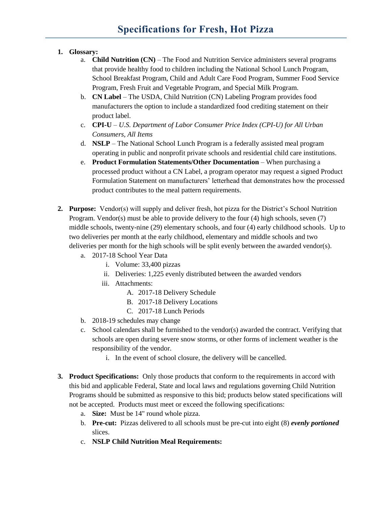### **1. Glossary:**

- a. **Child Nutrition (CN)** The Food and Nutrition Service administers several programs that provide healthy food to children including the National School Lunch Program, School Breakfast Program, Child and Adult Care Food Program, Summer Food Service Program, Fresh Fruit and Vegetable Program, and Special Milk Program.
- b. **CN Label** The USDA, Child Nutrition (CN) Labeling Program provides food manufacturers the option to include a standardized food crediting statement on their product label.
- c. **CPI-U** *U.S. Department of Labor Consumer Price Index (CPI-U) for All Urban Consumers, All Items*
- d. **NSLP** The National School Lunch Program is a federally assisted meal program operating in public and nonprofit private schools and residential child care institutions.
- e. **Product Formulation Statements/Other Documentation** When purchasing a processed product without a CN Label, a program operator may request a signed Product Formulation Statement on manufacturers' letterhead that demonstrates how the processed product contributes to the meal pattern requirements.
- **2. Purpose:** Vendor(s) will supply and deliver fresh, hot pizza for the District's School Nutrition Program. Vendor(s) must be able to provide delivery to the four (4) high schools, seven (7) middle schools, twenty-nine (29) elementary schools, and four (4) early childhood schools. Up to two deliveries per month at the early childhood, elementary and middle schools and two deliveries per month for the high schools will be split evenly between the awarded vendor(s).
	- a. 2017-18 School Year Data
		- i. Volume: 33,400 pizzas
		- ii. Deliveries: 1,225 evenly distributed between the awarded vendors
		- iii. Attachments:
			- A. 2017-18 Delivery Schedule
			- B. 2017-18 Delivery Locations
			- C. 2017-18 Lunch Periods
	- b. 2018-19 schedules may change
	- c. School calendars shall be furnished to the vendor(s) awarded the contract. Verifying that schools are open during severe snow storms, or other forms of inclement weather is the responsibility of the vendor.
		- i. In the event of school closure, the delivery will be cancelled.
- **3. Product Specifications:** Only those products that conform to the requirements in accord with this bid and applicable Federal, State and local laws and regulations governing Child Nutrition Programs should be submitted as responsive to this bid; products below stated specifications will not be accepted. Products must meet or exceed the following specifications:
	- a. **Size:** Must be 14" round whole pizza.
	- b. **Pre-cut:** Pizzas delivered to all schools must be pre-cut into eight (8) *evenly portioned* slices.
	- c. **NSLP Child Nutrition Meal Requirements:**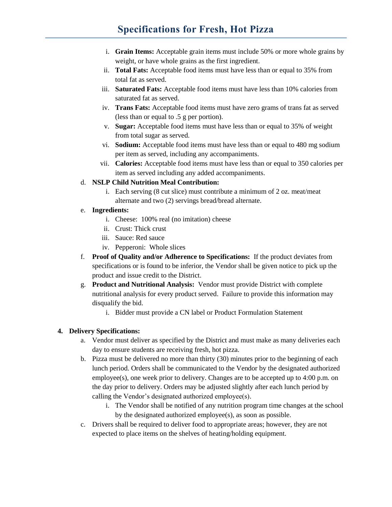# **Specifications for Fresh, Hot Pizza**

- i. **Grain Items:** Acceptable grain items must include 50% or more whole grains by weight, or have whole grains as the first ingredient.
- ii. **Total Fats:** Acceptable food items must have less than or equal to 35% from total fat as served.
- iii. **Saturated Fats:** Acceptable food items must have less than 10% calories from saturated fat as served.
- iv. **Trans Fats:** Acceptable food items must have zero grams of trans fat as served (less than or equal to .5 g per portion).
- v. **Sugar:** Acceptable food items must have less than or equal to 35% of weight from total sugar as served.
- vi. **Sodium:** Acceptable food items must have less than or equal to 480 mg sodium per item as served, including any accompaniments.
- vii. **Calories:** Acceptable food items must have less than or equal to 350 calories per item as served including any added accompaniments.

#### d. **NSLP Child Nutrition Meal Contribution:**

i. Each serving (8 cut slice) must contribute a minimum of 2 oz. meat/meat alternate and two (2) servings bread/bread alternate.

#### e. **Ingredients:**

- i. Cheese: 100% real (no imitation) cheese
- ii. Crust: Thick crust
- iii. Sauce: Red sauce
- iv. Pepperoni: Whole slices
- f. **Proof of Quality and/or Adherence to Specifications:** If the product deviates from specifications or is found to be inferior, the Vendor shall be given notice to pick up the product and issue credit to the District.
- g. **Product and Nutritional Analysis:** Vendor must provide District with complete nutritional analysis for every product served. Failure to provide this information may disqualify the bid.
	- i. Bidder must provide a CN label or Product Formulation Statement

#### **4. Delivery Specifications:**

- a. Vendor must deliver as specified by the District and must make as many deliveries each day to ensure students are receiving fresh, hot pizza.
- b. Pizza must be delivered no more than thirty (30) minutes prior to the beginning of each lunch period. Orders shall be communicated to the Vendor by the designated authorized employee(s), one week prior to delivery. Changes are to be accepted up to 4:00 p.m. on the day prior to delivery. Orders may be adjusted slightly after each lunch period by calling the Vendor's designated authorized employee(s).
	- i. The Vendor shall be notified of any nutrition program time changes at the school by the designated authorized employee(s), as soon as possible.
- c. Drivers shall be required to deliver food to appropriate areas; however, they are not expected to place items on the shelves of heating/holding equipment.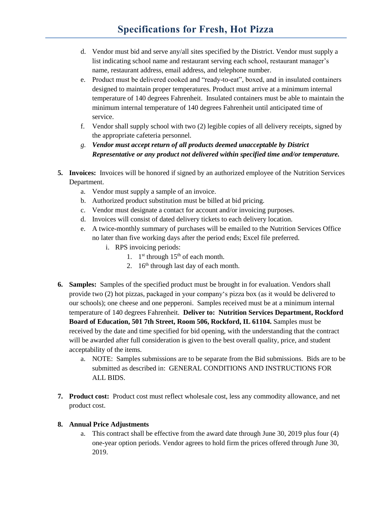# **Specifications for Fresh, Hot Pizza**

- d. Vendor must bid and serve any/all sites specified by the District. Vendor must supply a list indicating school name and restaurant serving each school, restaurant manager's name, restaurant address, email address, and telephone number.
- e. Product must be delivered cooked and "ready-to-eat", boxed, and in insulated containers designed to maintain proper temperatures. Product must arrive at a minimum internal temperature of 140 degrees Fahrenheit. Insulated containers must be able to maintain the minimum internal temperature of 140 degrees Fahrenheit until anticipated time of service.
- f. Vendor shall supply school with two (2) legible copies of all delivery receipts, signed by the appropriate cafeteria personnel.
- *g. Vendor must accept return of all products deemed unacceptable by District Representative or any product not delivered within specified time and/or temperature.*
- **5. Invoices:** Invoices will be honored if signed by an authorized employee of the Nutrition Services Department.
	- a. Vendor must supply a sample of an invoice.
	- b. Authorized product substitution must be billed at bid pricing.
	- c. Vendor must designate a contact for account and/or invoicing purposes.
	- d. Invoices will consist of dated delivery tickets to each delivery location.
	- e. A twice-monthly summary of purchases will be emailed to the Nutrition Services Office no later than five working days after the period ends; Excel file preferred.
		- i. RPS invoicing periods:
			- 1.  $1<sup>st</sup>$  through  $15<sup>th</sup>$  of each month.
			- 2.  $16<sup>th</sup>$  through last day of each month.
- **6. Samples:** Samples of the specified product must be brought in for evaluation. Vendors shall provide two (2) hot pizzas, packaged in your company's pizza box (as it would be delivered to our schools); one cheese and one pepperoni. Samples received must be at a minimum internal temperature of 140 degrees Fahrenheit. **Deliver to: Nutrition Services Department, Rockford Board of Education, 501 7th Street, Room 506, Rockford, IL 61104.** Samples must be received by the date and time specified for bid opening, with the understanding that the contract will be awarded after full consideration is given to the best overall quality, price, and student acceptability of the items.
	- a. NOTE: Samples submissions are to be separate from the Bid submissions. Bids are to be submitted as described in: GENERAL CONDITIONS AND INSTRUCTIONS FOR ALL BIDS.
- **7. Product cost:** Product cost must reflect wholesale cost, less any commodity allowance, and net product cost.

#### **8. Annual Price Adjustments**

a. This contract shall be effective from the award date through June 30, 2019 plus four (4) one-year option periods. Vendor agrees to hold firm the prices offered through June 30, 2019.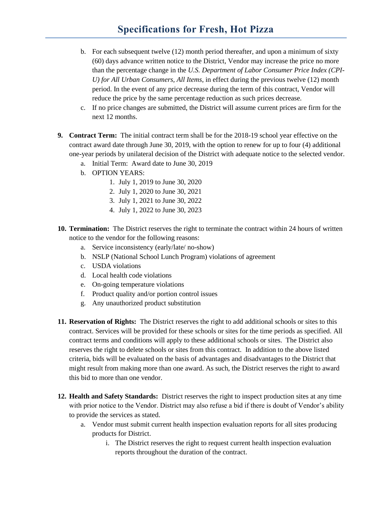# **Specifications for Fresh, Hot Pizza**

- b. For each subsequent twelve (12) month period thereafter, and upon a minimum of sixty (60) days advance written notice to the District, Vendor may increase the price no more than the percentage change in the *U.S. Department of Labor Consumer Price Index (CPI-U) for All Urban Consumers, All Items*, in effect during the previous twelve (12) month period. In the event of any price decrease during the term of this contract, Vendor will reduce the price by the same percentage reduction as such prices decrease.
- c. If no price changes are submitted, the District will assume current prices are firm for the next 12 months.
- **9. Contract Term:** The initial contract term shall be for the 2018-19 school year effective on the contract award date through June 30, 2019, with the option to renew for up to four (4) additional one-year periods by unilateral decision of the District with adequate notice to the selected vendor.
	- a. Initial Term: Award date to June 30, 2019
	- b. OPTION YEARS:
		- 1. July 1, 2019 to June 30, 2020
		- 2. July 1, 2020 to June 30, 2021
		- 3. July 1, 2021 to June 30, 2022
		- 4. July 1, 2022 to June 30, 2023
- **10. Termination:** The District reserves the right to terminate the contract within 24 hours of written notice to the vendor for the following reasons:
	- a. Service inconsistency (early/late/ no-show)
	- b. NSLP (National School Lunch Program) violations of agreement
	- c. USDA violations
	- d. Local health code violations
	- e. On-going temperature violations
	- f. Product quality and/or portion control issues
	- g. Any unauthorized product substitution
- **11. Reservation of Rights:** The District reserves the right to add additional schools or sites to this contract. Services will be provided for these schools or sites for the time periods as specified. All contract terms and conditions will apply to these additional schools or sites. The District also reserves the right to delete schools or sites from this contract. In addition to the above listed criteria, bids will be evaluated on the basis of advantages and disadvantages to the District that might result from making more than one award. As such, the District reserves the right to award this bid to more than one vendor.
- **12. Health and Safety Standards:** District reserves the right to inspect production sites at any time with prior notice to the Vendor. District may also refuse a bid if there is doubt of Vendor's ability to provide the services as stated.
	- a. Vendor must submit current health inspection evaluation reports for all sites producing products for District.
		- i. The District reserves the right to request current health inspection evaluation reports throughout the duration of the contract.